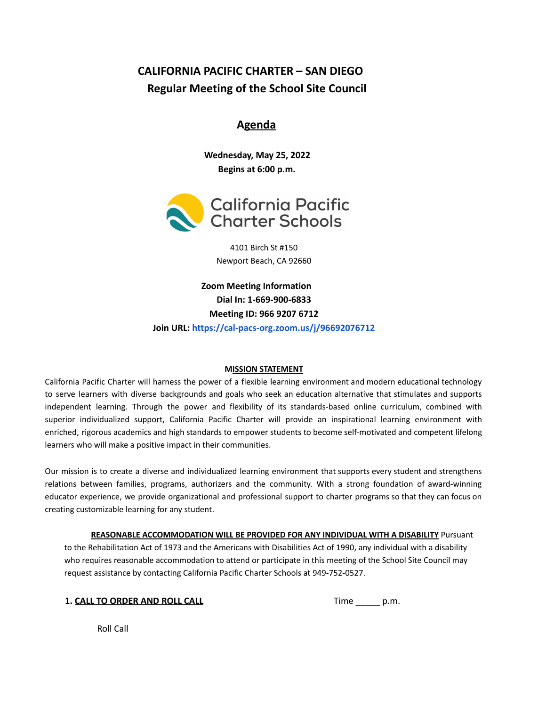# **CALIFORNIA PACIFIC CHARTER – SAN DIEGO Regular Meeting of the School Site Council**

# **Agenda**

**Wednesday, May 25, 2022 Begins at 6:00 p.m.**



4101 Birch St #150 Newport Beach, CA 92660

**Zoom Meeting Information Dial In: 1-669-900-6833 Meeting ID: 966 9207 6712 Join URL: <https://cal-pacs-org.zoom.us/j/96692076712>**

### **MISSION STATEMENT**

California Pacific Charter will harness the power of a flexible learning environment and modern educational technology to serve learners with diverse backgrounds and goals who seek an education alternative that stimulates and supports independent learning. Through the power and flexibility of its standards-based online curriculum, combined with superior individualized support, California Pacific Charter will provide an inspirational learning environment with enriched, rigorous academics and high standards to empower students to become self-motivated and competent lifelong learners who will make a positive impact in their communities.

Our mission is to create a diverse and individualized learning environment that supports every student and strengthens relations between families, programs, authorizers and the community. With a strong foundation of award-winning educator experience, we provide organizational and professional support to charter programs so that they can focus on creating customizable learning for any student.

**REASONABLE ACCOMMODATION WILL BE PROVIDED FOR ANY INDIVIDUAL WITH A DISABILITY** Pursuant to the Rehabilitation Act of 1973 and the Americans with Disabilities Act of 1990, any individual with a disability who requires reasonable accommodation to attend or participate in this meeting of the School Site Council may request assistance by contacting California Pacific Charter Schools at 949-752-0527.

|  | 1. CALL TO ORDER AND ROLL CALL |  |  |
|--|--------------------------------|--|--|

**1. CALL TO ORDER AND ROLL CALL** Time \_\_\_\_\_ p.m.

Roll Call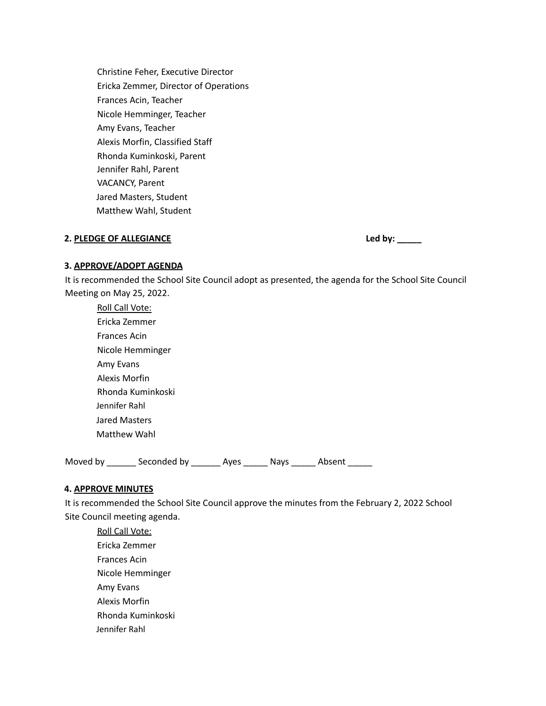Christine Feher, Executive Director Ericka Zemmer, Director of Operations Frances Acin, Teacher Nicole Hemminger, Teacher Amy Evans, Teacher Alexis Morfin, Classified Staff Rhonda Kuminkoski, Parent Jennifer Rahl, Parent VACANCY, Parent Jared Masters, Student Matthew Wahl, Student

## **2. PLEDGE OF ALLEGIANCE Led by: \_\_\_\_\_**

#### **3. APPROVE/ADOPT AGENDA**

It is recommended the School Site Council adopt as presented, the agenda for the School Site Council Meeting on May 25, 2022.

Roll Call Vote: Ericka Zemmer Frances Acin Nicole Hemminger Amy Evans Alexis Morfin Rhonda Kuminkoski Jennifer Rahl Jared Masters Matthew Wahl

Moved by \_\_\_\_\_\_\_ Seconded by \_\_\_\_\_\_\_ Ayes \_\_\_\_\_\_ Nays \_\_\_\_\_\_ Absent \_\_\_\_\_\_

### **4. APPROVE MINUTES**

It is recommended the School Site Council approve the minutes from the February 2, 2022 School Site Council meeting agenda.

Roll Call Vote: Ericka Zemmer Frances Acin Nicole Hemminger Amy Evans Alexis Morfin Rhonda Kuminkoski Jennifer Rahl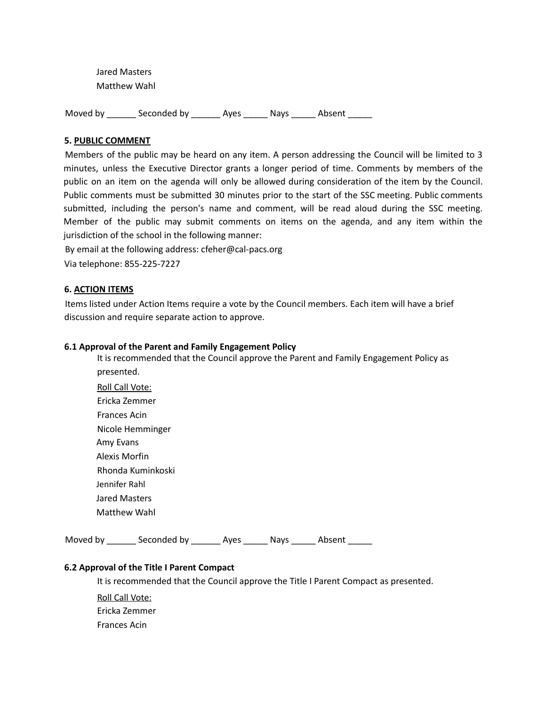Jared Masters Matthew Wahl

Moved by disconded by and Ayes and Absent

#### **5. PUBLIC COMMENT**

Members of the public may be heard on any item. A person addressing the Council will be limited to 3 minutes, unless the Executive Director grants a longer period of time. Comments by members of the public on an item on the agenda will only be allowed during consideration of the item by the Council. Public comments must be submitted 30 minutes prior to the start of the SSC meeting. Public comments submitted, including the person's name and comment, will be read aloud during the SSC meeting. Member of the public may submit comments on items on the agenda, and any item within the jurisdiction of the school in the following manner:

By email at the following address: cfeher@cal-pacs.org Via telephone: 855-225-7227

#### **6. ACTION ITEMS**

Items listed under Action Items require a vote by the Council members. Each item will have a brief discussion and require separate action to approve.

#### **6.1 Approval of the Parent and Family Engagement Policy**

It is recommended that the Council approve the Parent and Family Engagement Policy as presented.

Roll Call Vote: Ericka Zemmer Frances Acin Nicole Hemminger Amy Evans Alexis Morfin Rhonda Kuminkoski Jennifer Rahl Jared Masters Matthew Wahl

Moved by disconded by an Ayes and American Absent

### **6.2 Approval of the Title I Parent Compact**

It is recommended that the Council approve the Title I Parent Compact as presented.

Roll Call Vote: Ericka Zemmer Frances Acin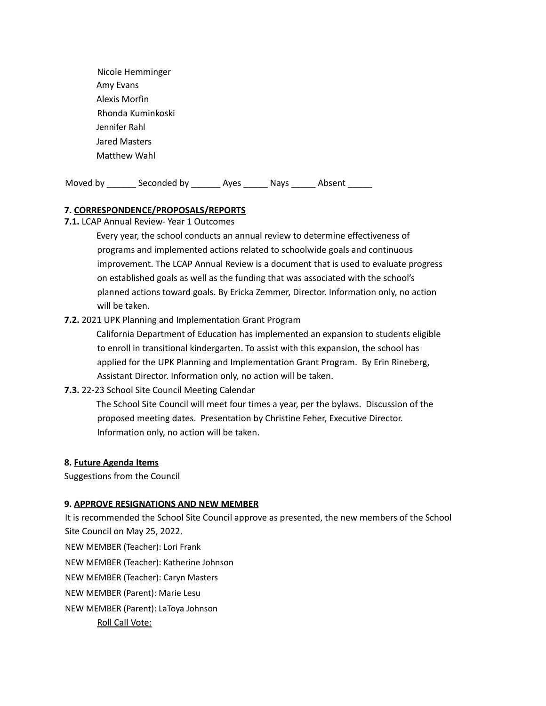Nicole Hemminger Amy Evans Alexis Morfin Rhonda Kuminkoski Jennifer Rahl Jared Masters Matthew Wahl

Moved by \_\_\_\_\_\_\_ Seconded by \_\_\_\_\_\_\_ Ayes \_\_\_\_\_\_ Nays \_\_\_\_\_\_ Absent \_\_\_\_\_\_

### **7. CORRESPONDENCE/PROPOSALS/REPORTS**

**7.1.** LCAP Annual Review- Year 1 Outcomes

Every year, the school conducts an annual review to determine effectiveness of programs and implemented actions related to schoolwide goals and continuous improvement. The LCAP Annual Review is a document that is used to evaluate progress on established goals as well as the funding that was associated with the school's planned actions toward goals. By Ericka Zemmer, Director. Information only, no action will be taken.

### **7.2.** 2021 UPK Planning and Implementation Grant Program

California Department of Education has implemented an expansion to students eligible to enroll in transitional kindergarten. To assist with this expansion, the school has applied for the UPK Planning and Implementation Grant Program. By Erin Rineberg, Assistant Director. Information only, no action will be taken.

**7.3.** 22-23 School Site Council Meeting Calendar

The School Site Council will meet four times a year, per the bylaws. Discussion of the proposed meeting dates. Presentation by Christine Feher, Executive Director. Information only, no action will be taken.

### **8. Future Agenda Items**

Suggestions from the Council

### **9. APPROVE RESIGNATIONS AND NEW MEMBER**

It is recommended the School Site Council approve as presented, the new members of the School Site Council on May 25, 2022.

NEW MEMBER (Teacher): Lori Frank

NEW MEMBER (Teacher): Katherine Johnson

NEW MEMBER (Teacher): Caryn Masters

NEW MEMBER (Parent): Marie Lesu

NEW MEMBER (Parent): LaToya Johnson

Roll Call Vote: